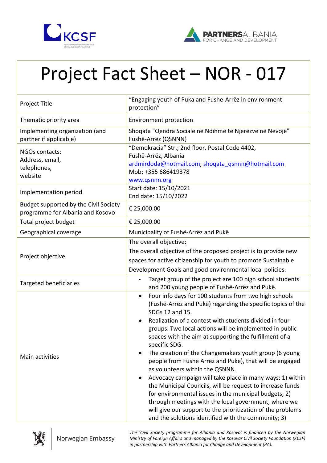



## Project Fact Sheet – NOR - 017

| Project Title                                                             | "Engaging youth of Puka and Fushe-Arrëz in environment<br>protection"                                                                                                                                                                                                                                                                                                                                                                                                                                                                                                                                                                                                                                                                                                                                                                                                                                  |
|---------------------------------------------------------------------------|--------------------------------------------------------------------------------------------------------------------------------------------------------------------------------------------------------------------------------------------------------------------------------------------------------------------------------------------------------------------------------------------------------------------------------------------------------------------------------------------------------------------------------------------------------------------------------------------------------------------------------------------------------------------------------------------------------------------------------------------------------------------------------------------------------------------------------------------------------------------------------------------------------|
| Thematic priority area                                                    | <b>Environment protection</b>                                                                                                                                                                                                                                                                                                                                                                                                                                                                                                                                                                                                                                                                                                                                                                                                                                                                          |
| Implementing organization (and<br>partner if applicable)                  | Shoqata "Qendra Sociale në Ndihmë të Njerëzve në Nevojë"<br>Fushë-Arrëz (QSNNN)                                                                                                                                                                                                                                                                                                                                                                                                                                                                                                                                                                                                                                                                                                                                                                                                                        |
| NGOs contacts:<br>Address, email,<br>telephones,<br>website               | "Demokracia" Str.; 2nd floor, Postal Code 4402,<br>Fushë-Arrëz, Albania<br>ardmirdoda@hotmail.com; shoqata_qsnnn@hotmail.com<br>Mob: +355 686419378<br>www.qsnnn.org                                                                                                                                                                                                                                                                                                                                                                                                                                                                                                                                                                                                                                                                                                                                   |
| Implementation period                                                     | Start date: 15/10/2021<br>End date: 15/10/2022                                                                                                                                                                                                                                                                                                                                                                                                                                                                                                                                                                                                                                                                                                                                                                                                                                                         |
| Budget supported by the Civil Society<br>programme for Albania and Kosovo | € 25,000.00                                                                                                                                                                                                                                                                                                                                                                                                                                                                                                                                                                                                                                                                                                                                                                                                                                                                                            |
| Total project budget                                                      | € 25,000.00                                                                                                                                                                                                                                                                                                                                                                                                                                                                                                                                                                                                                                                                                                                                                                                                                                                                                            |
| Geographical coverage                                                     | Municipality of Fushë-Arrëz and Pukë                                                                                                                                                                                                                                                                                                                                                                                                                                                                                                                                                                                                                                                                                                                                                                                                                                                                   |
| Project objective                                                         | The overall objective:<br>The overall objective of the proposed project is to provide new<br>spaces for active citizenship for youth to promote Sustainable<br>Development Goals and good environmental local policies.                                                                                                                                                                                                                                                                                                                                                                                                                                                                                                                                                                                                                                                                                |
| <b>Targeted beneficiaries</b>                                             | Target group of the project are 100 high school students<br>and 200 young people of Fushë-Arrëz and Pukë.                                                                                                                                                                                                                                                                                                                                                                                                                                                                                                                                                                                                                                                                                                                                                                                              |
| Main activities                                                           | Four info days for 100 students from two high schools<br>$\bullet$<br>(Fushë-Arrëz and Pukë) regarding the specific topics of the<br>SDGs 12 and 15.<br>Realization of a contest with students divided in four<br>groups. Two local actions will be implemented in public<br>spaces with the aim at supporting the fulfillment of a<br>specific SDG.<br>The creation of the Changemakers youth group (6 young<br>$\bullet$<br>people from Fushe Arrez and Puke), that will be engaged<br>as volunteers within the QSNNN.<br>Advocacy campaign will take place in many ways: 1) within<br>$\bullet$<br>the Municipal Councils, will be request to increase funds<br>for environmental issues in the municipal budgets; 2)<br>through meetings with the local government, where we<br>will give our support to the prioritization of the problems<br>and the solutions identified with the community; 3) |



*The 'Civil Society programme for Albania and Kosovo' is financed by the Norwegian Ministry of Foreign Affairs and managed by the Kosovar Civil Society Foundation (KCSF) in partnership with Partners Albania for Change and Development (PA).*